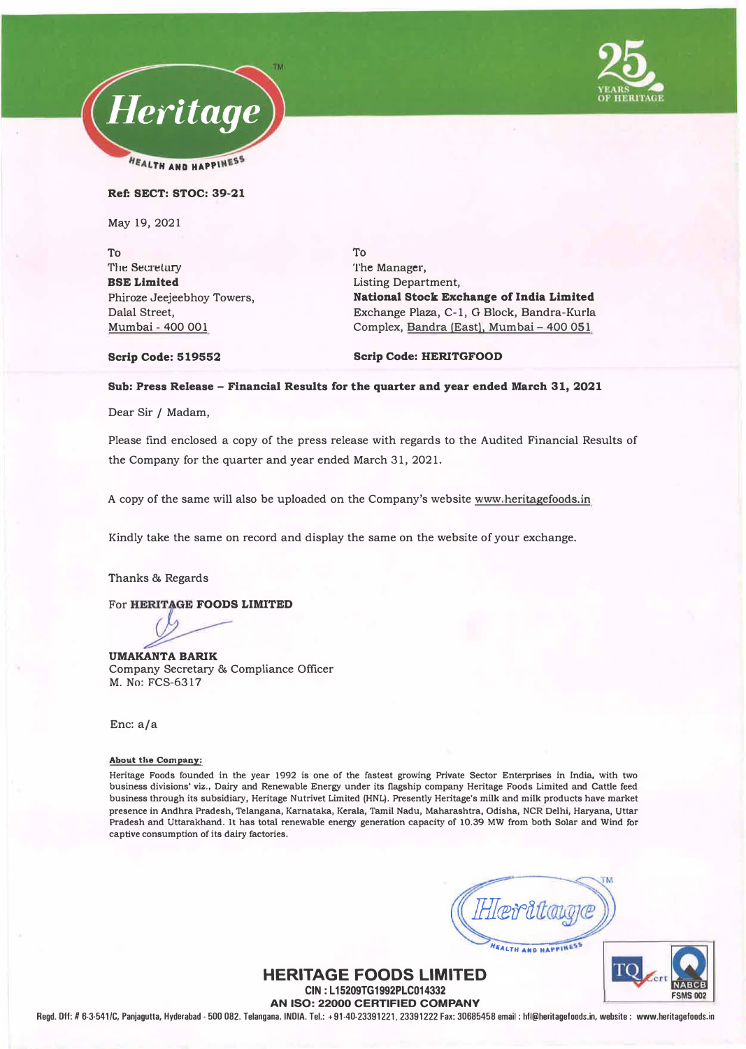



#### Ref: SECT: STOC: 39-21

May 19, 2021

To The Secretury BSE Limited Phiroze Jeejeebhoy Towers, Dalal Street, Mumbai - 400 001

To The Manager, Listing Department, National Stock Exchange of India Limited Exchange Plaza, C-1, G Block, Bandra-Kurla Complex, Bandra (East). Mumbai-400 051

Scrip Code: 519552

#### Scrip Code: HERITGFOOD

### Sub: Press Release - Financial Results for the quarter and year ended March 31, 2021

Dear Sir / Madam,

Please find enclosed a copy of the press release with regards to the Audited Financial Results of the Company for the quarter and year ended March 31, 2021.

A copy of the same will also be uploaded on the Company's website www.heritagefoods.in

Kindly take the same on record and display the same on the website of your exchange.

Thanks & Regards

For HERITAGE FOODS LIMITED

UMAKANTA BARIK Company Secretary & Compliance Officer M. No: FCS-6317

Enc: a/a

#### **About the Company:**

**Heritage Foods founded in the year 1992 is one of the fastest growing Private Sector Enterprises in India, with two business divisions' viz., Dairy and Renewable Energy under its flagship company Heritage Foods Limited and Cattle feed business through its subsidiary, Heritage Nutrivet Limited (HNL). Presently Heritage's milk and milk products have market presence in Andhra Pradesh, Telangana, Karnataka, Kerala, Tamil Nadu, Maharashtra, Odisha, NCR Delhi, Haryana, Uttar Pradesh and Uttarakhand. It has total renewable energy generation capacity of 10.39 MW from both Solar and Wind for captive consumption of its dairy factories.** 

FALTH AND HAPPINES

**FSMS 002** 

### **HERITAGE FOODS LIMITED CIN : L 15209TG1992PLC014332**

**AN ISO: 22000 CERTIFIED COMPANY Regd. Off: /16-3-541/C, Panjagutta, Hyderabad. 500 082. Telangana, INOIA. Tel.: +91-40-23391221, 23391222 Fax: 30685458 email: hfl@heritagefoods.in, website : www.heritagefoods.in**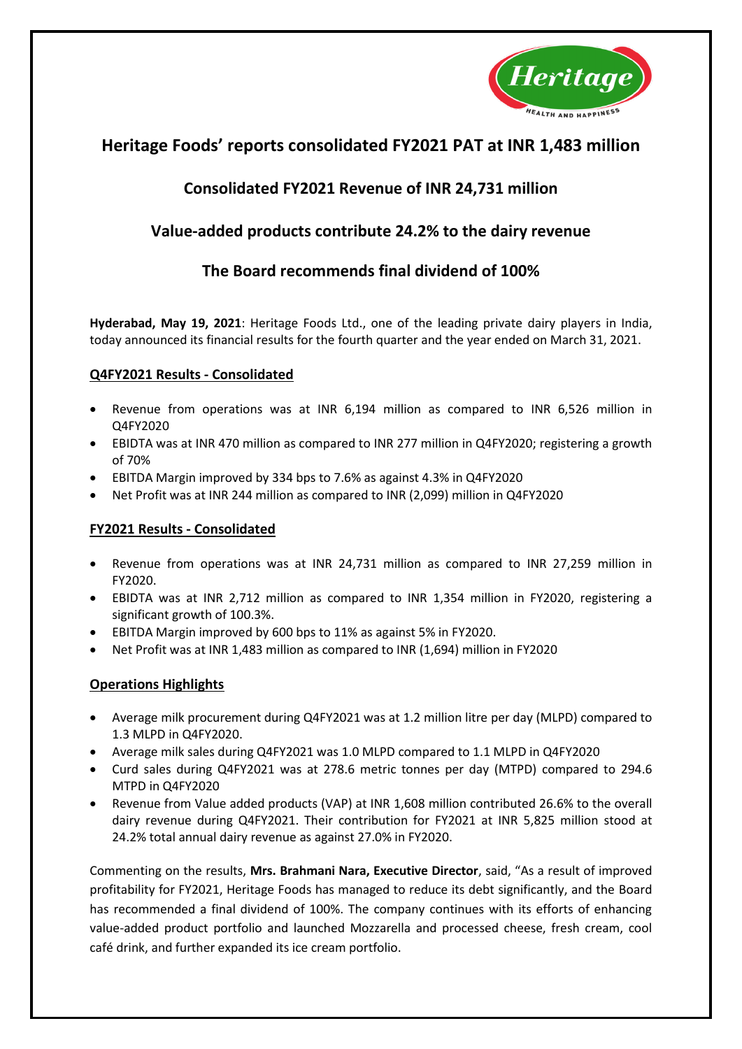

# **Heritage Foods' reports consolidated FY2021 PAT at INR 1,483 million**

# **Consolidated FY2021 Revenue of INR 24,731 million**

# **Value-added products contribute 24.2% to the dairy revenue**

# **The Board recommends final dividend of 100%**

**Hyderabad, May 19, 2021**: Heritage Foods Ltd., one of the leading private dairy players in India, today announced its financial results for the fourth quarter and the year ended on March 31, 2021.

# **Q4FY2021 Results - Consolidated**

- Revenue from operations was at INR 6,194 million as compared to INR 6,526 million in Q4FY2020
- EBIDTA was at INR 470 million as compared to INR 277 million in Q4FY2020; registering a growth of 70%
- EBITDA Margin improved by 334 bps to 7.6% as against 4.3% in Q4FY2020
- Net Profit was at INR 244 million as compared to INR (2,099) million in Q4FY2020

# **FY2021 Results - Consolidated**

- Revenue from operations was at INR 24,731 million as compared to INR 27,259 million in FY2020.
- EBIDTA was at INR 2,712 million as compared to INR 1,354 million in FY2020, registering a significant growth of 100.3%.
- EBITDA Margin improved by 600 bps to 11% as against 5% in FY2020.
- Net Profit was at INR 1,483 million as compared to INR (1,694) million in FY2020

# **Operations Highlights**

- Average milk procurement during Q4FY2021 was at 1.2 million litre per day (MLPD) compared to 1.3 MLPD in Q4FY2020.
- Average milk sales during Q4FY2021 was 1.0 MLPD compared to 1.1 MLPD in Q4FY2020
- Curd sales during Q4FY2021 was at 278.6 metric tonnes per day (MTPD) compared to 294.6 MTPD in Q4FY2020
- Revenue from Value added products (VAP) at INR 1,608 million contributed 26.6% to the overall dairy revenue during Q4FY2021. Their contribution for FY2021 at INR 5,825 million stood at 24.2% total annual dairy revenue as against 27.0% in FY2020.

Commenting on the results, **Mrs. Brahmani Nara, Executive Director**, said, "As a result of improved profitability for FY2021, Heritage Foods has managed to reduce its debt significantly, and the Board has recommended a final dividend of 100%. The company continues with its efforts of enhancing value-added product portfolio and launched Mozzarella and processed cheese, fresh cream, cool café drink, and further expanded its ice cream portfolio.